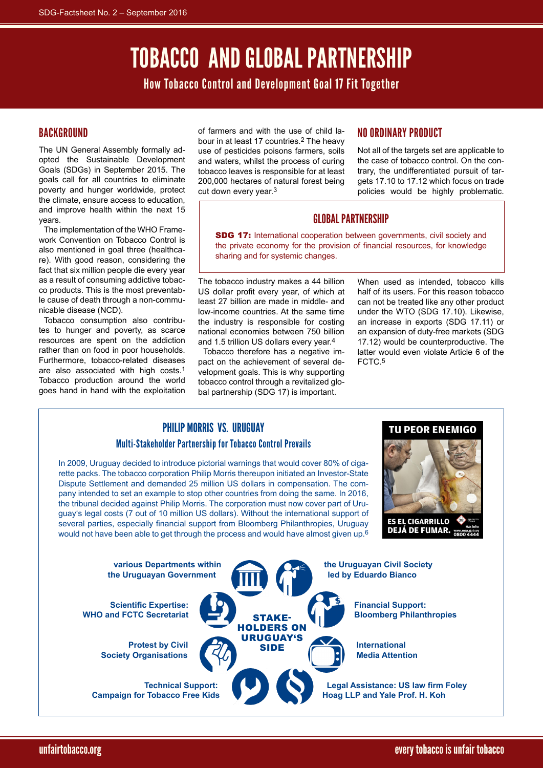# Tobacco and Global Partnership

How Tobacco Control and Development Goal 17 Fit Together

# **BACKGROUND**

The UN General Assembly formally adopted the Sustainable Development Goals (SDGs) in September 2015. The goals call for all countries to eliminate poverty and hunger worldwide, protect the climate, ensure access to education, and improve health within the next 15 years.

The implementation of the WHO Framework Convention on Tobacco Control is also mentioned in goal three (healthcare). With good reason, considering the fact that six million people die every year as a result of consuming addictive tobacco products. This is the most preventable cause of death through a non-communicable disease (NCD).

Tobacco consumption also contributes to hunger and poverty, as scarce resources are spent on the addiction rather than on food in poor households. Furthermore, tobacco-related diseases are also associated with high costs.1 Tobacco production around the world goes hand in hand with the exploitation

of farmers and with the use of child labour in at least 17 countries.2 The heavy use of pesticides poisons farmers, soils and waters, whilst the process of curing tobacco leaves is responsible for at least 200,000 hectares of natural forest being cut down every year.3

# No Ordinary Product

Not all of the targets set are applicable to the case of tobacco control. On the contrary, the undifferentiated pursuit of targets 17.10 to 17.12 which focus on trade policies would be highly problematic.

# Global Partnership

SDG 17: International cooperation between governments, civil society and the private economy for the provision of financial resources, for knowledge sharing and for systemic changes.

The tobacco industry makes a 44 billion US dollar profit every year, of which at least 27 billion are made in middle- and low-income countries. At the same time the industry is responsible for costing national economies between 750 billion and 1.5 trillion US dollars every year.4

Tobacco therefore has a negative impact on the achievement of several development goals. This is why supporting tobacco control through a revitalized global partnership (SDG 17) is important.

When used as intended, tobacco kills half of its users. For this reason tobacco can not be treated like any other product under the WTO (SDG 17.10). Likewise, an increase in exports (SDG 17.11) or an expansion of duty-free markets (SDG 17.12) would be counterproductive. The latter would even violate Article 6 of the FCTC.5

# Philip Morris VS. Uruguay Multi-Stakeholder Partnership for Tobacco Control Prevails

In 2009, Uruguay decided to introduce pictorial warnings that would cover 80% of cigarette packs. The tobacco corporation Philip Morris thereupon initiated an Investor-State Dispute Settlement and demanded 25 million US dollars in compensation. The company intended to set an example to stop other countries from doing the same. In 2016, the tribunal decided against Philip Morris. The corporation must now cover part of Uruguay's legal costs (7 out of 10 million US dollars). Without the international support of several parties, especially financial support from Bloomberg Philanthropies, Uruguay would not have been able to get through the process and would have almost given up.6



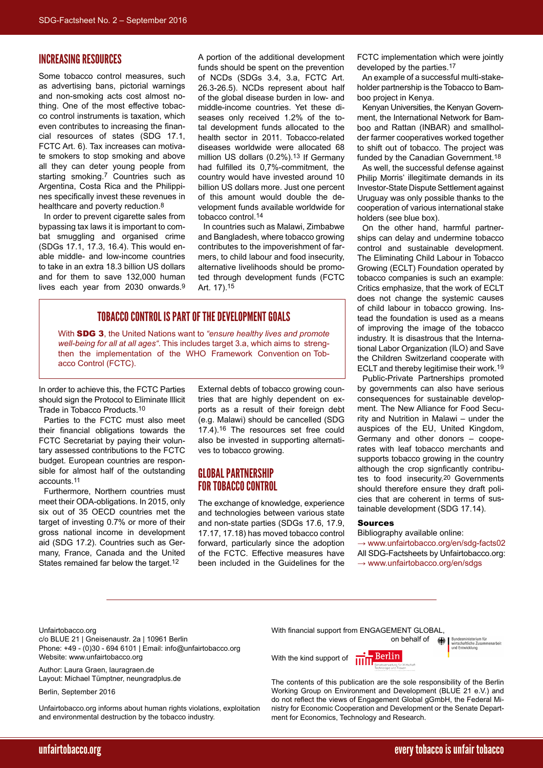#### Increasing Resources

Some tobacco control measures, such as advertising bans, pictorial warnings and non-smoking acts cost almost nothing. One of the most effective tobacco control instruments is taxation, which even contributes to increasing the financial resources of states (SDG 17.1, FCTC Art. 6). Tax increases can motivate smokers to stop smoking and above all they can deter young people from starting smoking.<sup>7</sup> Countries such as Argentina, Costa Rica and the Philippines specifically invest these revenues in healthcare and poverty reduction.<sup>8</sup>

In order to prevent cigarette sales from bypassing tax laws it is important to combat smuggling and organised crime (SDGs 17.1, 17.3, 16.4). This would enable middle- and low-income countries to take in an extra 18.3 billion US dollars and for them to save 132,000 human lives each year from 2030 onwards.9

A portion of the additional development funds should be spent on the prevention of NCDs (SDGs 3.4, 3.a, FCTC Art. 26.3-26.5). NCDs represent about half of the global disease burden in low- and middle-income countries. Yet these diseases only received 1.2% of the total development funds allocated to the health sector in 2011. Tobacco-related diseases worldwide were allocated 68 million US dollars (0.2%).13 If Germany had fulfilled its 0,7%-commitment, the country would have invested around 10 billion US dollars more. Just one percent of this amount would double the development funds available worldwide for tobacco control.14

In countries such as Malawi, Zimbabwe and Bangladesh, where tobacco growing contributes to the impoverishment of farmers, to child labour and food insecurity, alternative livelihoods should be promoted through development funds (FCTC Art. 17).15

### TOBACCO CONTROL IS PART OF THE DEVELOPMENT GOALS

With SDG 3, the United Nations want to *"ensure healthy lives and promote well-being for all at all ages"*. This includes target 3.a, which aims to strengthen the implementation of the WHO Framework Convention on Tobacco Control (FCTC).

In order to achieve this, the FCTC Parties should sign the Protocol to Eliminate Illicit Trade in Tobacco Products.10

Parties to the FCTC must also meet their financial obligations towards the FCTC Secretariat by paying their voluntary assessed contributions to the FCTC budget. European countries are responsible for almost half of the outstanding accounts.11

Furthermore, Northern countries must meet their ODA-obligations. In 2015, only six out of 35 OECD countries met the target of investing 0.7% or more of their gross national income in development aid (SDG 17.2). Countries such as Germany, France, Canada and the United States remained far below the target.12

External debts of tobacco growing countries that are highly dependent on exports as a result of their foreign debt (e.g. Malawi) should be cancelled (SDG 17.4).16 The resources set free could also be invested in supporting alternatives to tobacco growing.

#### Global Partnership for Tobacco Control

The exchange of knowledge, experience and technologies between various state and non-state parties (SDGs 17.6, 17.9, 17.17, 17.18) has moved tobacco control forward, particularly since the adoption of the FCTC. Effective measures have been included in the Guidelines for the FCTC implementation which were jointly developed by the parties.<sup>17</sup>

An example of a successful multi-stakeholder partnership is the Tobacco to Bamboo project in Kenya.

Kenyan Universities, the Kenyan Government, the International Network for Bamboo and Rattan (INBAR) and smallholder farmer cooperatives worked together to shift out of tobacco. The project was funded by the Canadian Government.<sup>18</sup>

As well, the successful defense against Philip Morris' illegitimate demands in its Investor-State Dispute Settlement against Uruguay was only possible thanks to the cooperation of various international stake holders (see blue box).

On the other hand, harmful partnerships can delay and undermine tobacco control and sustainable development. The Eliminating Child Labour in Tobacco Growing (ECLT) Foundation operated by tobacco companies is such an example: Critics emphasize, that the work of ECLT does not change the systemic causes of child labour in tobacco growing. Instead the foundation is used as a means of improving the image of the tobacco industry. It is disastrous that the International Labor Organization (ILO) and Save the Children Switzerland cooperate with ECLT and thereby legitimise their work.<sup>19</sup>

Public-Private Partnerships promoted by governments can also have serious consequences for sustainable development. The New Alliance for Food Security and Nutrition in Malawi – under the auspices of the EU, United Kingdom, Germany and other donors – cooperates with leaf tobacco merchants and supports tobacco growing in the country although the crop signficantly contributes to food insecurity.<sup>20</sup> Governments should therefore ensure they draft policies that are coherent in terms of sustainable development (SDG 17.14).

#### Sources

Bibliography available online: → [www.unfairtobacco.org/en/sdg-facts02](www.unfairtobacco.org/sdg-facts02) All SDG-Factsheets by Unfairtobacco.org: → [www.unfairtobacco.org/en/sdgs](www.unfairtobacco.org/sdgs)

Unfairtobacco.org

c/o BLUE 21 | Gneisenaustr. 2a | 10961 Berlin Phone: +49 - (0)30 - 694 6101 | Email: info@unfairtobacco.org Website: www.unfairtobacco.org

Author: Laura Graen, lauragraen.de Layout: Michael Tümptner, neungradplus.de

Berlin, September 2016

Unfairtobacco.org informs about human rights violations, exploitation and environmental destruction by the tobacco industry.

With financial support from ENGAGEMENT GLOBAL,

Bundesministerium für<br>wirtschaftliche Zusammenarbeit<br>und Entwicklung on behalf of 绿

With the kind support of

• Berlin

The contents of this publication are the sole responsibility of the Berlin Working Group on Environment and Development (BLUE 21 e.V.) and do not reflect the views of Engagement Global gGmbH, the Federal Ministry for Economic Cooperation and Development or the Senate Department for Economics, Technology and Research.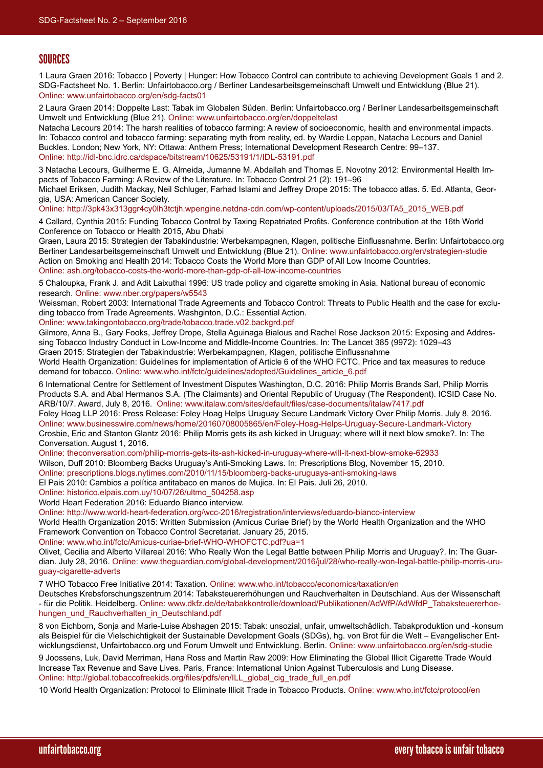#### SOURCES

1 Laura Graen 2016: Tobacco | Poverty | Hunger: How Tobacco Control can contribute to achieving Development Goals 1 and 2. SDG-Factsheet No. 1. Berlin: Unfairtobacco.org / Berliner Landesarbeitsgemeinschaft Umwelt und Entwicklung (Blue 21). Online: [www.unfairtobacco.org/en/sdg-facts01](http://www.unfairtobacco.org/sdg-facts01)

2 Laura Graen 2014: Doppelte Last: Tabak im Globalen Süden. Berlin: Unfairtobacco.org / Berliner Landesarbeitsgemeinschaft Umwelt und Entwicklung (Blue 21). Online: [www.unfairtobacco.org/en/doppeltelast](http://www.unfairtobacco.org/doppeltelast)

Natacha Lecours 2014: The harsh realities of tobacco farming: A review of socioeconomic, health and environmental impacts. In: Tobacco control and tobacco farming: separating myth from reality, ed. by Wardie Leppan, Natacha Lecours and Daniel Buckles. London; New York, NY: Ottawa: Anthem Press; International Development Research Centre: 99–137. Online: <http://idl-bnc.idrc.ca/dspace/bitstream/10625/53191/1/IDL-53191.pdf>

3 Natacha Lecours, Guilherme E. G. Almeida, Jumanne M. Abdallah and Thomas E. Novotny 2012: Environmental Health Impacts of Tobacco Farming: A Review of the Literature. In: Tobacco Control 21 (2): 191–96

Michael Eriksen, Judith Mackay, Neil Schluger, Farhad Islami and Jeffrey Drope 2015: The tobacco atlas. 5. Ed. Atlanta, Georgia, USA: American Cancer Society.

Online: [http://3pk43x313ggr4cy0lh3tctjh.wpengine.netdna-cdn.com/wp-content/uploads/2015/03/TA5\\_2015\\_WEB.pdf](http://3pk43x313ggr4cy0lh3tctjh.wpengine.netdna-cdn.com/wp-content/uploads/2015/03/TA5_2015_WEB.pdf)

4 Callard, Cynthia 2015: Funding Tobacco Control by Taxing Repatriated Profits. Conference contribution at the 16th World Conference on Tobacco or Health 2015, Abu Dhabi

Graen, Laura 2015: Strategien der Tabakindustrie: Werbekampagnen, Klagen, politische Einflussnahme. Berlin: Unfairtobacco.org Berliner Landesarbeitsgemeinschaft Umwelt und Entwicklung (Blue 21). Online: [www.unfairtobacco.org/en/strategien-studie](http://www.unfairtobacco.org/strategien-studie) Action on Smoking and Health 2014: Tobacco Costs the World More than GDP of All Low Income Countries. Online: [ash.org/tobacco-costs-the-world-more-than-gdp-of-all-low-income-countries](http://ash.org/tobacco-costs-the-world-more-than-gdp-of-all-low-income-countries)

5 Chaloupka, Frank J. and Adit Laixuthai 1996: US trade policy and cigarette smoking in Asia. National bureau of economic research. Online: [www.nber.org/papers/w5543](http://www.nber.org/papers/w5543)

Weissman, Robert 2003: International Trade Agreements and Tobacco Control: Threats to Public Health and the case for excluding tobacco from Trade Agreements. Washginton, D.C.: Essential Action.

Online: [www.takingontobacco.org/trade/tobacco.trade.v02.backgrd.pdf](http://www.takingontobacco.org/trade/tobacco.trade.v02.backgrd.pdf)

Gilmore, Anna B., Gary Fooks, Jeffrey Drope, Stella Aguinaga Bialous and Rachel Rose Jackson 2015: Exposing and Addressing Tobacco Industry Conduct in Low-Income and Middle-Income Countries. In: The Lancet 385 (9972): 1029–43 Graen 2015: Strategien der Tabakindustrie: Werbekampagnen, Klagen, politische Einflussnahme

World Health Organization: Guidelines for implementation of Article 6 of the WHO FCTC. Price and tax measures to reduce demand for tobacco. Online: [www.who.int/fctc/guidelines/adopted/Guidelines\\_article\\_6.pdf](http://www.who.int/fctc/guidelines/adopted/Guidelines_article_6.pdf)

6 International Centre for Settlement of Investment Disputes Washington, D.C. 2016: Philip Morris Brands Sarl, Philip Morris Products S.A. and Abal Hermanos S.A. (The Claimants) and Oriental Republic of Uruguay (The Respondent). ICSID Case No. ARB/10/7. Award, July 8, 2016. Online: [www.italaw.com/sites/default/files/case-documents/italaw7417.pdf](http://www.italaw.com/sites/default/files/case-documents/italaw7417.pdf)

Foley Hoag LLP 2016: Press Release: Foley Hoag Helps Uruguay Secure Landmark Victory Over Philip Morris. July 8, 2016. Online: [www.businesswire.com/news/home/20160708005865/en/Foley-Hoag-Helps-Uruguay-Secure-Landmark-Victory](http://www.businesswire.com/news/home/20160708005865/en/Foley-Hoag-Helps-Uruguay-Secure-Landmark-Victory) Crosbie, Eric and Stanton Glantz 2016: Philip Morris gets its ash kicked in Uruguay; where will it next blow smoke?. In: The Conversation. August 1, 2016.

Online: [theconversation.com/philip-morris-gets-its-ash-kicked-in-uruguay-where-will-it-next-blow-smoke-62933](http://theconversation.com/philip-morris-gets-its-ash-kicked-in-uruguay-where-will-it-next-blow-smoke-62933)

Wilson, Duff 2010: Bloomberg Backs Uruguay's Anti-Smoking Laws. In: Prescriptions Blog, November 15, 2010.

Online: [prescriptions.blogs.nytimes.com/2010/11/15/bloomberg-backs-uruguays-anti-smoking-laws](http://prescriptions.blogs.nytimes.com/2010/11/15/bloomberg-backs-uruguays-anti-smoking-laws)

El Pais 2010: Cambios a política antitabaco en manos de Mujica. In: El Pais. Juli 26, 2010.

Online: [historico.elpais.com.uy/10/07/26/ultmo\\_504258.asp](http://historico.elpais.com.uy/10/07/26/ultmo_504258.asp)

World Heart Federation 2016: Eduardo Bianco interview.

Online: http://www.world-heart-federation.org/wcc-2016/registration/interviews/eduardo-bianco-interview

World Health Organization 2015: Written Submission (Amicus Curiae Brief) by the World Health Organization and the WHO Framework Convention on Tobacco Control Secretariat. January 25, 2015.

Online: www.who.int/fctc/Amicus-curiae-brief-WHO-WHOFCTC.pdf?ua=1

Olivet, Cecilia and Alberto Villareal 2016: Who Really Won the Legal Battle between Philip Morris and Uruguay?. In: The Guardian. July 28, 2016. Online: [www.theguardian.com/global-development/2016/jul/28/who-really-won-legal-battle-philip-morris-uru](http://www.theguardian.com/global-development/2016/jul/28/who-really-won-legal-battle-philip-morris-uruguay-cigarette-adverts)[guay-cigarette-adverts](http://www.theguardian.com/global-development/2016/jul/28/who-really-won-legal-battle-philip-morris-uruguay-cigarette-adverts)

7 WHO Tobacco Free Initiative 2014: Taxation. Online: [www.who.int/tobacco/economics/taxation/en](http://www.who.int/tobacco/economics/taxation/en)

Deutsches Krebsforschungszentrum 2014: Tabaksteuererhöhungen und Rauchverhalten in Deutschland. Aus der Wissenschaft - für die Politik. Heidelberg. Online: [www.dkfz.de/de/tabakkontrolle/download/Publikationen/AdWfP/AdWfdP\\_Tabaksteuererhoe](www.dkfz.de/de/tabakkontrolle/download/Publikationen/AdWfP/AdWfdP_Tabaksteuererhoehungen_und_Rauchverhalten_in_Deutschland.pdf)[hungen\\_und\\_Rauchverhalten\\_in\\_Deutschland.pdf](www.dkfz.de/de/tabakkontrolle/download/Publikationen/AdWfP/AdWfdP_Tabaksteuererhoehungen_und_Rauchverhalten_in_Deutschland.pdf)

8 von Eichborn, Sonja and Marie-Luise Abshagen 2015: Tabak: unsozial, unfair, umweltschädlich. Tabakproduktion und -konsum als Beispiel für die Vielschichtigkeit der Sustainable Development Goals (SDGs), hg. von Brot für die Welt – Evangelischer Entwicklungsdienst, Unfairtobacco.org und Forum Umwelt und Entwicklung. Berlin. Online: [www.unfairtobacco.org/en/sdg-studie](http://www.unfairtobacco.org/sdg-studie)

9 Joossens, Luk, David Merriman, Hana Ross and Martin Raw 2009: How Eliminating the Global Illicit Cigarette Trade Would Increase Tax Revenue and Save Lives. Paris, France: International Union Against Tuberculosis and Lung Disease. Online: [http://global.tobaccofreekids.org/files/pdfs/en/ILL\\_global\\_cig\\_trade\\_full\\_en.pdf](http://global.tobaccofreekids.org/files/pdfs/en/ILL_global_cig_trade_full_en.pdf)

10 World Health Organization: Protocol to Eliminate Illicit Trade in Tobacco Products. Online: [www.who.int/fctc/protocol/en](http://www.who.int/fctc/protocol/en)